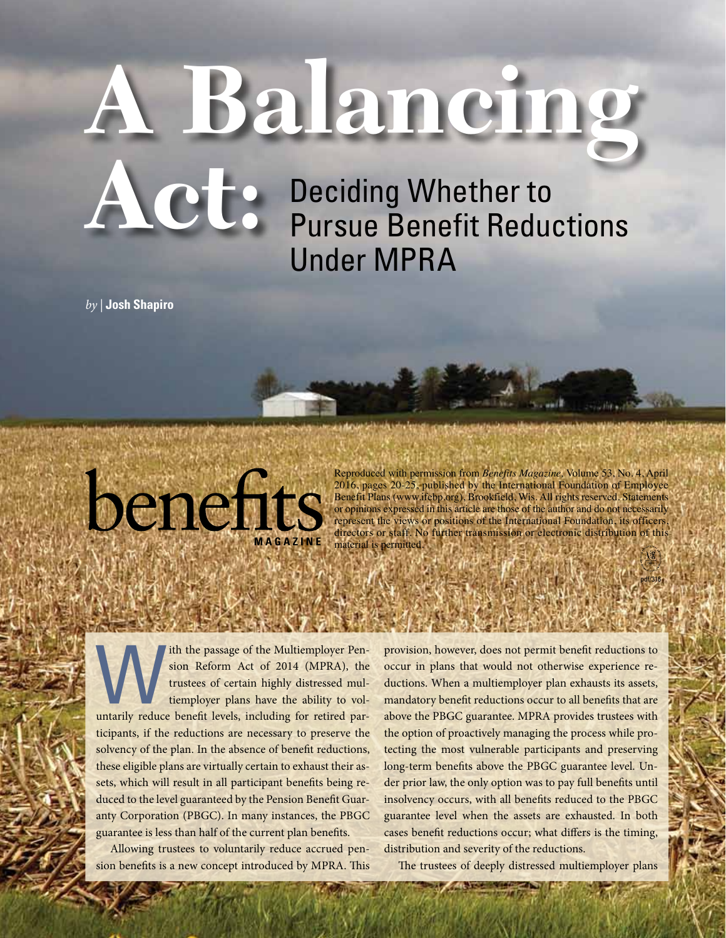# **A Balancing**

Deciding Whether to **Act:** Deciding Whether to<br>
Pursue Benefit Reductions Under MPRA

*by |* **Josh Shapiro**



Reproduced with permission from *Benefits Magazine,* Volume 53, No. 4, April 2016, pages 20-25, published by the International Foundation of Employee Benefit Plans (www.ifebp.org), Brookfield, Wis. All rights reserved. Statements or opinions expressed in this article are those of the author and do not necessarily represent the views or positions of the International Foundation, its officers, directors or staff. No further transmission or electronic distribution of this

pdf/316

ith the passage of the Multiemployer Pen-<br>sion Reform Act of 2014 (MPRA), the<br>trustees of certain highly distressed mul-<br>tiemployer plans have the ability to vol-<br>untarily reduce benefit levels, including for retired parsion Reform Act of 2014 (MPRA), the trustees of certain highly distressed multiemployer plans have the ability to volticipants, if the reductions are necessary to preserve the solvency of the plan. In the absence of benefit reductions, these eligible plans are virtually certain to exhaust their assets, which will result in all participant benefits being reduced to the level guaranteed by the Pension Benefit Guaranty Corporation (PBGC). In many instances, the PBGC guarantee is less than half of the current plan benefits.

Allowing trustees to voluntarily reduce accrued pension benefits is a new concept introduced by MPRA. This

20 **benefits magazine** april 2016

provision, however, does not permit benefit reductions to occur in plans that would not otherwise experience reductions. When a multiemployer plan exhausts its assets, mandatory benefit reductions occur to all benefits that are above the PBGC guarantee. MPRA provides trustees with the option of proactively managing the process while protecting the most vulnerable participants and preserving long-term benefits above the PBGC guarantee level. Under prior law, the only option was to pay full benefits until insolvency occurs, with all benefits reduced to the PBGC guarantee level when the assets are exhausted. In both cases benefit reductions occur; what differs is the timing, distribution and severity of the reductions.

The trustees of deeply distressed multiemployer plans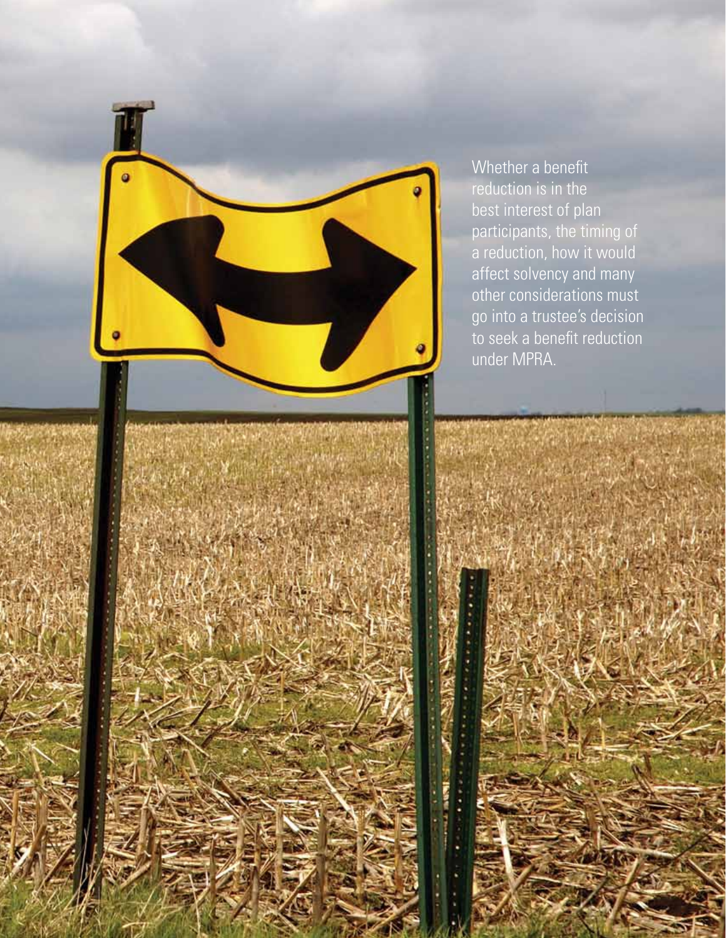Whether a benefit reduction is in the best interest of plan participants, the timing of a reduction, how it would affect solvency and many other considerations must go into a trustee's decision to seek a benefit reduction under MPRA.

april 2016 **benefits magazine** 21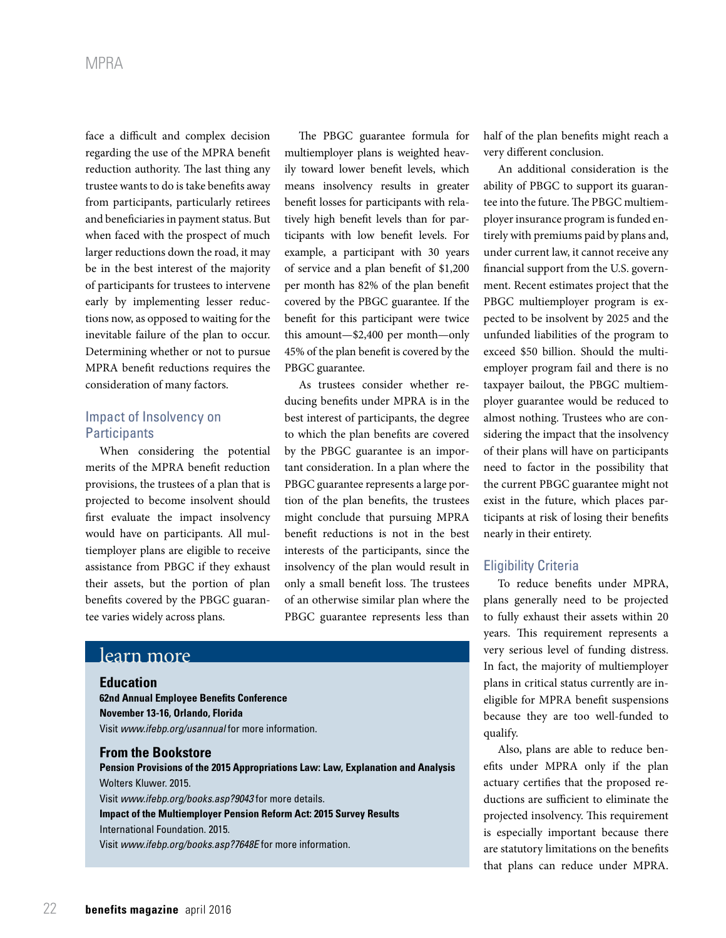face a difficult and complex decision regarding the use of the MPRA benefit reduction authority. The last thing any trustee wants to do is take benefits away from participants, particularly retirees and beneficiaries in payment status. But when faced with the prospect of much larger reductions down the road, it may be in the best interest of the majority of participants for trustees to intervene early by implementing lesser reductions now, as opposed to waiting for the inevitable failure of the plan to occur. Determining whether or not to pursue MPRA benefit reductions requires the consideration of many factors.

# Impact of Insolvency on **Participants**

When considering the potential merits of the MPRA benefit reduction provisions, the trustees of a plan that is projected to become insolvent should first evaluate the impact insolvency would have on participants. All multiemployer plans are eligible to receive assistance from PBGC if they exhaust their assets, but the portion of plan benefits covered by the PBGC guarantee varies widely across plans.

The PBGC guarantee formula for multiemployer plans is weighted heavily toward lower benefit levels, which means insolvency results in greater benefit losses for participants with relatively high benefit levels than for participants with low benefit levels. For example, a participant with 30 years of service and a plan benefit of \$1,200 per month has 82% of the plan benefit covered by the PBGC guarantee. If the benefit for this participant were twice this amount—\$2,400 per month—only 45% of the plan benefit is covered by the PBGC guarantee.

As trustees consider whether reducing benefits under MPRA is in the best interest of participants, the degree to which the plan benefits are covered by the PBGC guarantee is an important consideration. In a plan where the PBGC guarantee represents a large portion of the plan benefits, the trustees might conclude that pursuing MPRA benefit reductions is not in the best interests of the participants, since the insolvency of the plan would result in only a small benefit loss. The trustees of an otherwise similar plan where the PBGC guarantee represents less than

# learn more

#### **Education**

**62nd Annual Employee Benefits Conference November 13-16, Orlando, Florida** Visit *www.ifebp.org/usannual* for more information.

#### **From the Bookstore**

**Pension Provisions of the 2015 Appropriations Law: Law, Explanation and Analysis** Wolters Kluwer. 2015. Visit *www.ifebp.org/books.asp?9043* for more details. **Impact of the Multiemployer Pension Reform Act: 2015 Survey Results** International Foundation. 2015. Visit *www.ifebp.org/books.asp?7648E* for more information.

half of the plan benefits might reach a very different conclusion.

An additional consideration is the ability of PBGC to support its guarantee into the future. The PBGC multiemployer insurance program is funded entirely with premiums paid by plans and, under current law, it cannot receive any financial support from the U.S. government. Recent estimates project that the PBGC multiemployer program is expected to be insolvent by 2025 and the unfunded liabilities of the program to exceed \$50 billion. Should the multiemployer program fail and there is no taxpayer bailout, the PBGC multiemployer guarantee would be reduced to almost nothing. Trustees who are considering the impact that the insolvency of their plans will have on participants need to factor in the possibility that the current PBGC guarantee might not exist in the future, which places participants at risk of losing their benefits nearly in their entirety.

## Eligibility Criteria

To reduce benefits under MPRA, plans generally need to be projected to fully exhaust their assets within 20 years. This requirement represents a very serious level of funding distress. In fact, the majority of multiemployer plans in critical status currently are ineligible for MPRA benefit suspensions because they are too well-funded to qualify.

Also, plans are able to reduce benefits under MPRA only if the plan actuary certifies that the proposed reductions are sufficient to eliminate the projected insolvency. This requirement is especially important because there are statutory limitations on the benefits that plans can reduce under MPRA.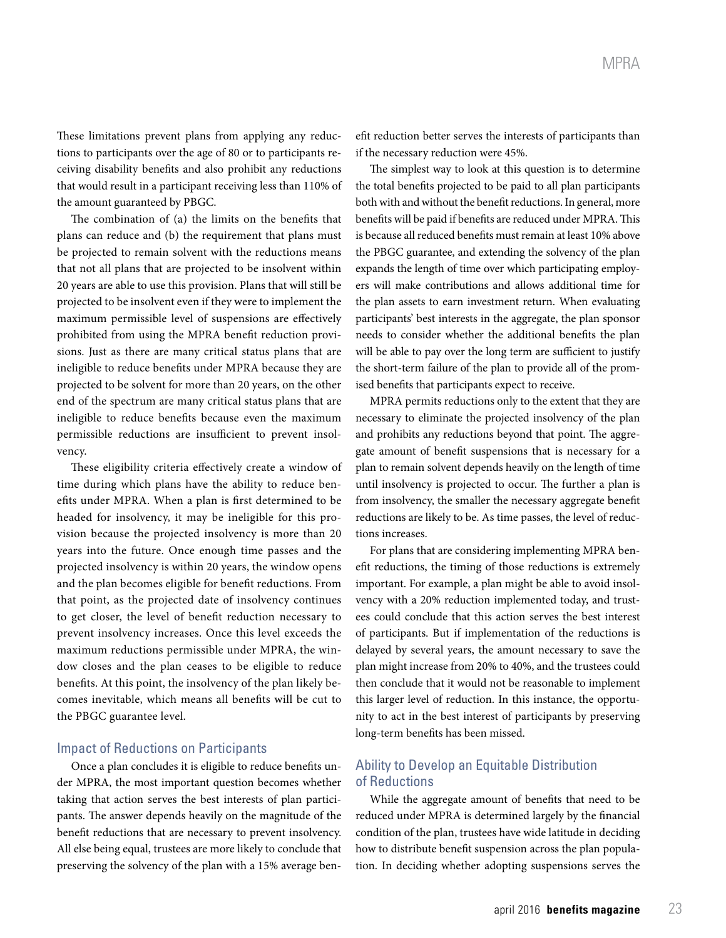These limitations prevent plans from applying any reductions to participants over the age of 80 or to participants receiving disability benefits and also prohibit any reductions that would result in a participant receiving less than 110% of the amount guaranteed by PBGC.

The combination of (a) the limits on the benefits that plans can reduce and (b) the requirement that plans must be projected to remain solvent with the reductions means that not all plans that are projected to be insolvent within 20 years are able to use this provision. Plans that will still be projected to be insolvent even if they were to implement the maximum permissible level of suspensions are effectively prohibited from using the MPRA benefit reduction provisions. Just as there are many critical status plans that are ineligible to reduce benefits under MPRA because they are projected to be solvent for more than 20 years, on the other end of the spectrum are many critical status plans that are ineligible to reduce benefits because even the maximum permissible reductions are insufficient to prevent insolvency.

These eligibility criteria effectively create a window of time during which plans have the ability to reduce benefits under MPRA. When a plan is first determined to be headed for insolvency, it may be ineligible for this provision because the projected insolvency is more than 20 years into the future. Once enough time passes and the projected insolvency is within 20 years, the window opens and the plan becomes eligible for benefit reductions. From that point, as the projected date of insolvency continues to get closer, the level of benefit reduction necessary to prevent insolvency increases. Once this level exceeds the maximum reductions permissible under MPRA, the window closes and the plan ceases to be eligible to reduce benefits. At this point, the insolvency of the plan likely becomes inevitable, which means all benefits will be cut to the PBGC guarantee level.

#### Impact of Reductions on Participants

Once a plan concludes it is eligible to reduce benefits under MPRA, the most important question becomes whether taking that action serves the best interests of plan participants. The answer depends heavily on the magnitude of the benefit reductions that are necessary to prevent insolvency. All else being equal, trustees are more likely to conclude that preserving the solvency of the plan with a 15% average benefit reduction better serves the interests of participants than if the necessary reduction were 45%.

The simplest way to look at this question is to determine the total benefits projected to be paid to all plan participants both with and without the benefit reductions. In general, more benefits will be paid if benefits are reduced under MPRA. This is because all reduced benefits must remain at least 10% above the PBGC guarantee, and extending the solvency of the plan expands the length of time over which participating employers will make contributions and allows additional time for the plan assets to earn investment return. When evaluating participants' best interests in the aggregate, the plan sponsor needs to consider whether the additional benefits the plan will be able to pay over the long term are sufficient to justify the short-term failure of the plan to provide all of the promised benefits that participants expect to receive.

MPRA permits reductions only to the extent that they are necessary to eliminate the projected insolvency of the plan and prohibits any reductions beyond that point. The aggregate amount of benefit suspensions that is necessary for a plan to remain solvent depends heavily on the length of time until insolvency is projected to occur. The further a plan is from insolvency, the smaller the necessary aggregate benefit reductions are likely to be. As time passes, the level of reductions increases.

For plans that are considering implementing MPRA benefit reductions, the timing of those reductions is extremely important. For example, a plan might be able to avoid insolvency with a 20% reduction implemented today, and trustees could conclude that this action serves the best interest of participants. But if implementation of the reductions is delayed by several years, the amount necessary to save the plan might increase from 20% to 40%, and the trustees could then conclude that it would not be reasonable to implement this larger level of reduction. In this instance, the opportunity to act in the best interest of participants by preserving long-term benefits has been missed.

### Ability to Develop an Equitable Distribution of Reductions

While the aggregate amount of benefits that need to be reduced under MPRA is determined largely by the financial condition of the plan, trustees have wide latitude in deciding how to distribute benefit suspension across the plan population. In deciding whether adopting suspensions serves the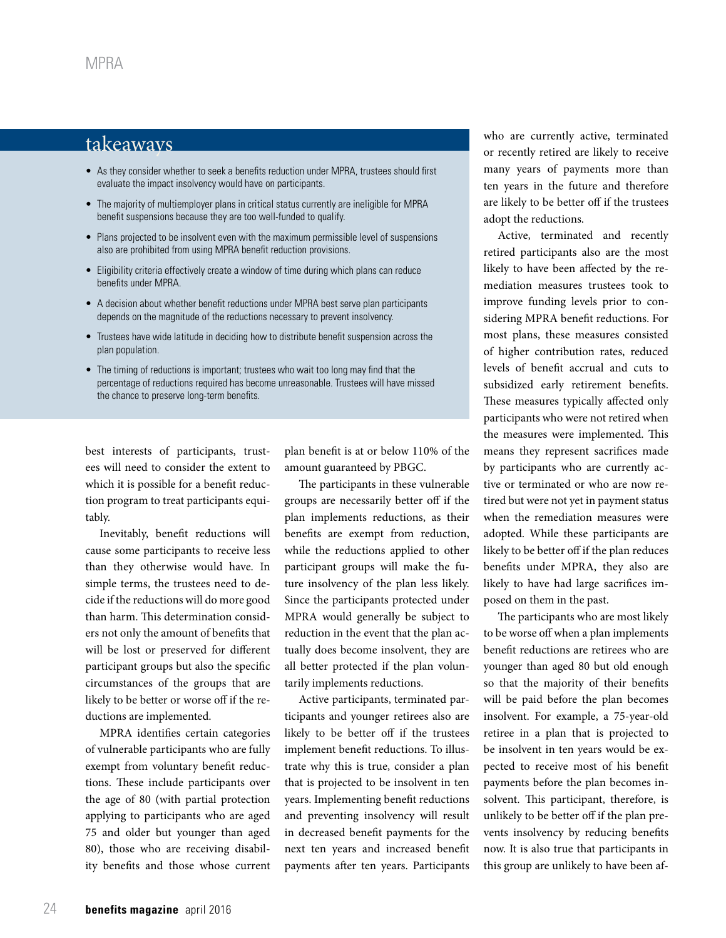# takeaways

- As they consider whether to seek a benefits reduction under MPRA, trustees should first evaluate the impact insolvency would have on participants.
- The majority of multiemployer plans in critical status currently are ineligible for MPRA benefit suspensions because they are too well-funded to qualify.
- Plans projected to be insolvent even with the maximum permissible level of suspensions also are prohibited from using MPRA benefit reduction provisions.
- Eligibility criteria effectively create a window of time during which plans can reduce benefits under MPRA.
- A decision about whether benefit reductions under MPRA best serve plan participants depends on the magnitude of the reductions necessary to prevent insolvency.
- Trustees have wide latitude in deciding how to distribute benefit suspension across the plan population.
- The timing of reductions is important; trustees who wait too long may find that the percentage of reductions required has become unreasonable. Trustees will have missed the chance to preserve long-term benefits.

best interests of participants, trustees will need to consider the extent to which it is possible for a benefit reduction program to treat participants equitably.

Inevitably, benefit reductions will cause some participants to receive less than they otherwise would have. In simple terms, the trustees need to decide if the reductions will do more good than harm. This determination considers not only the amount of benefits that will be lost or preserved for different participant groups but also the specific circumstances of the groups that are likely to be better or worse off if the reductions are implemented.

MPRA identifies certain categories of vulnerable participants who are fully exempt from voluntary benefit reductions. These include participants over the age of 80 (with partial protection applying to participants who are aged 75 and older but younger than aged 80), those who are receiving disability benefits and those whose current

plan benefit is at or below 110% of the amount guaranteed by PBGC.

The participants in these vulnerable groups are necessarily better off if the plan implements reductions, as their benefits are exempt from reduction, while the reductions applied to other participant groups will make the future insolvency of the plan less likely. Since the participants protected under MPRA would generally be subject to reduction in the event that the plan actually does become insolvent, they are all better protected if the plan voluntarily implements reductions.

Active participants, terminated participants and younger retirees also are likely to be better off if the trustees implement benefit reductions. To illustrate why this is true, consider a plan that is projected to be insolvent in ten years. Implementing benefit reductions and preventing insolvency will result in decreased benefit payments for the next ten years and increased benefit payments after ten years. Participants

who are currently active, terminated or recently retired are likely to receive many years of payments more than ten years in the future and therefore are likely to be better off if the trustees adopt the reductions.

Active, terminated and recently retired participants also are the most likely to have been affected by the remediation measures trustees took to improve funding levels prior to considering MPRA benefit reductions. For most plans, these measures consisted of higher contribution rates, reduced levels of benefit accrual and cuts to subsidized early retirement benefits. These measures typically affected only participants who were not retired when the measures were implemented. This means they represent sacrifices made by participants who are currently active or terminated or who are now retired but were not yet in payment status when the remediation measures were adopted. While these participants are likely to be better off if the plan reduces benefits under MPRA, they also are likely to have had large sacrifices imposed on them in the past.

The participants who are most likely to be worse off when a plan implements benefit reductions are retirees who are younger than aged 80 but old enough so that the majority of their benefits will be paid before the plan becomes insolvent. For example, a 75-year-old retiree in a plan that is projected to be insolvent in ten years would be expected to receive most of his benefit payments before the plan becomes insolvent. This participant, therefore, is unlikely to be better off if the plan prevents insolvency by reducing benefits now. It is also true that participants in this group are unlikely to have been af-